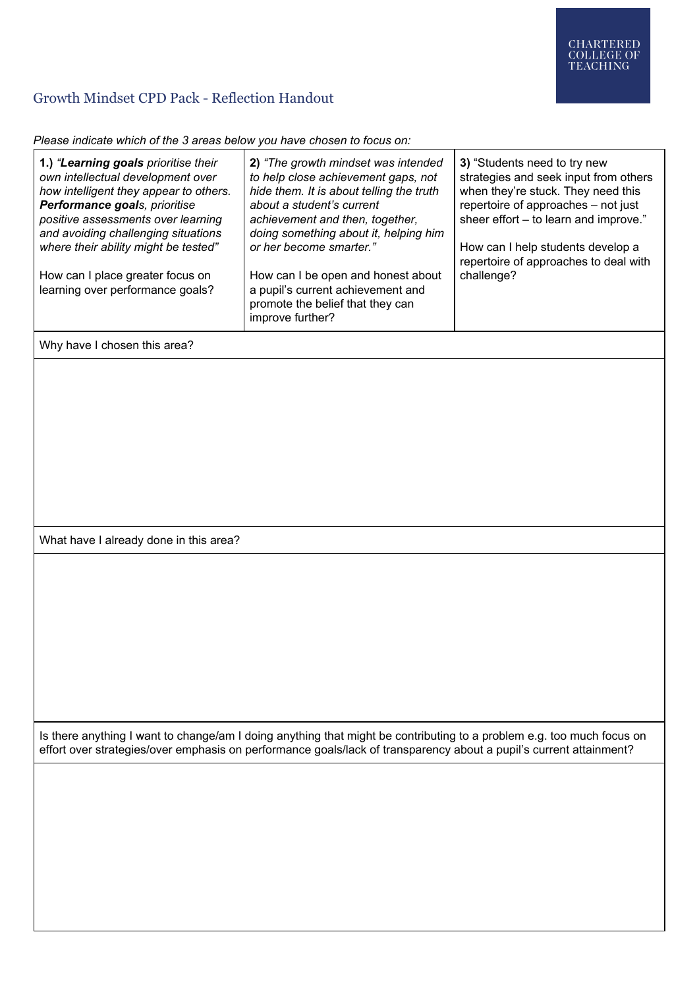## Growth Mindset CPD Pack - Reflection Handout

*Please indicate which of the 3 areas below you have chosen to focus on:*

|                                                                                                                                                                                                                                                                                                                                                   | raidate minori or the e aread bolon you have onedern to reduce on                                                                                                                                                                                                                                                                                                                             |                                                                                                                                                                                                                                                                                         |
|---------------------------------------------------------------------------------------------------------------------------------------------------------------------------------------------------------------------------------------------------------------------------------------------------------------------------------------------------|-----------------------------------------------------------------------------------------------------------------------------------------------------------------------------------------------------------------------------------------------------------------------------------------------------------------------------------------------------------------------------------------------|-----------------------------------------------------------------------------------------------------------------------------------------------------------------------------------------------------------------------------------------------------------------------------------------|
| 1.) "Learning goals prioritise their<br>own intellectual development over<br>how intelligent they appear to others.<br>Performance goals, prioritise<br>positive assessments over learning<br>and avoiding challenging situations<br>where their ability might be tested"<br>How can I place greater focus on<br>learning over performance goals? | 2) "The growth mindset was intended<br>to help close achievement gaps, not<br>hide them. It is about telling the truth<br>about a student's current<br>achievement and then, together,<br>doing something about it, helping him<br>or her become smarter."<br>How can I be open and honest about<br>a pupil's current achievement and<br>promote the belief that they can<br>improve further? | 3) "Students need to try new<br>strategies and seek input from others<br>when they're stuck. They need this<br>repertoire of approaches - not just<br>sheer effort - to learn and improve."<br>How can I help students develop a<br>repertoire of approaches to deal with<br>challenge? |
| Why have I chosen this area?                                                                                                                                                                                                                                                                                                                      |                                                                                                                                                                                                                                                                                                                                                                                               |                                                                                                                                                                                                                                                                                         |
|                                                                                                                                                                                                                                                                                                                                                   |                                                                                                                                                                                                                                                                                                                                                                                               |                                                                                                                                                                                                                                                                                         |
| What have I already done in this area?                                                                                                                                                                                                                                                                                                            |                                                                                                                                                                                                                                                                                                                                                                                               |                                                                                                                                                                                                                                                                                         |
|                                                                                                                                                                                                                                                                                                                                                   |                                                                                                                                                                                                                                                                                                                                                                                               |                                                                                                                                                                                                                                                                                         |
| Is there anything I want to change/am I doing anything that might be contributing to a problem e.g. too much focus on<br>effort over strategies/over emphasis on performance goals/lack of transparency about a pupil's current attainment?                                                                                                       |                                                                                                                                                                                                                                                                                                                                                                                               |                                                                                                                                                                                                                                                                                         |
|                                                                                                                                                                                                                                                                                                                                                   |                                                                                                                                                                                                                                                                                                                                                                                               |                                                                                                                                                                                                                                                                                         |